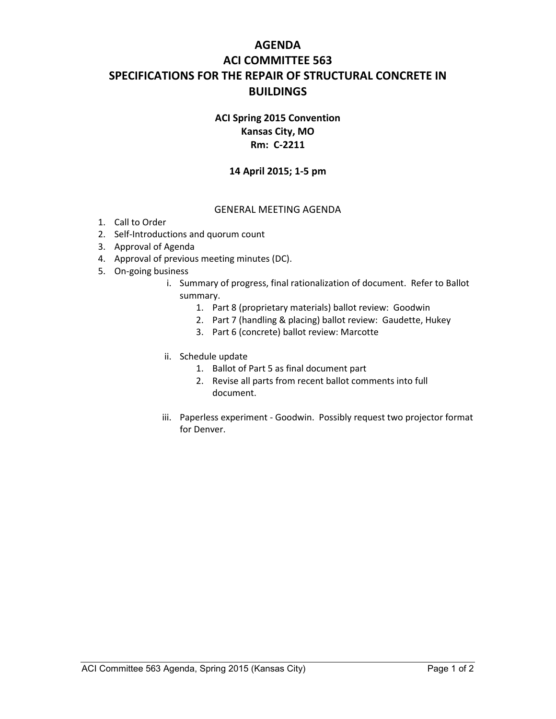# **AGENDA ACI COMMITTEE 563 SPECIFICATIONS FOR THE REPAIR OF STRUCTURAL CONCRETE IN BUILDINGS**

### **ACI Spring 2015 Convention Kansas City, MO Rm: C-2211**

#### **14 April 2015; 1-5 pm**

#### GENERAL MEETING AGENDA

- 1. Call to Order
- 2. Self-Introductions and quorum count
- 3. Approval of Agenda
- 4. Approval of previous meeting minutes (DC).
- 5. On-going business
	- i. Summary of progress, final rationalization of document. Refer to Ballot summary.
		- 1. Part 8 (proprietary materials) ballot review: Goodwin
		- 2. Part 7 (handling & placing) ballot review: Gaudette, Hukey
		- 3. Part 6 (concrete) ballot review: Marcotte
	- ii. Schedule update
		- 1. Ballot of Part 5 as final document part
		- 2. Revise all parts from recent ballot comments into full document.
	- iii. Paperless experiment Goodwin. Possibly request two projector format for Denver.